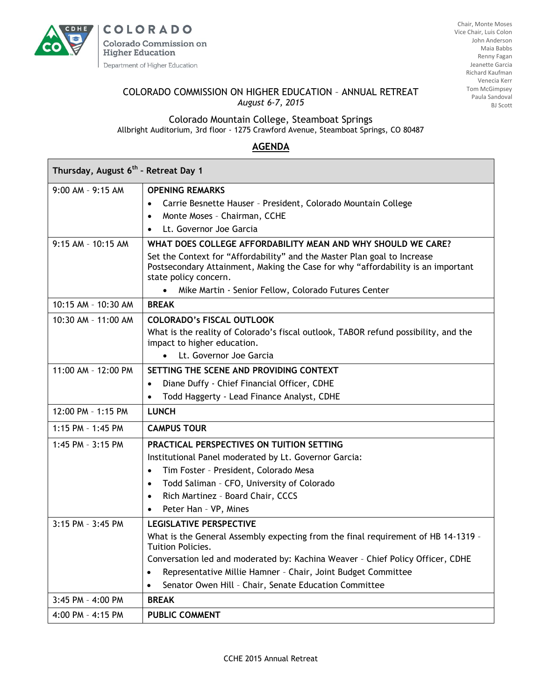

**COLORADO Colorado Commission on Higher Education** Department of Higher Education

Chair, Monte Moses Vice Chair, Luis Colon John Anderson Maia Babbs Renny Fagan Jeanette Garcia Richard Kaufman Venecia Kerr Tom McGimpsey Paula Sandoval BJ Scott

## COLORADO COMMISSION ON HIGHER EDUCATION – ANNUAL RETREAT *August 6-7, 2015*

Colorado Mountain College, Steamboat Springs Allbright Auditorium, 3rd floor - 1275 Crawford Avenue, Steamboat Springs, CO 80487

## **AGENDA**

| Thursday, August 6 <sup>th</sup> - Retreat Day 1 |                                                                                                                                                                                       |
|--------------------------------------------------|---------------------------------------------------------------------------------------------------------------------------------------------------------------------------------------|
| $9:00$ AM - $9:15$ AM                            | <b>OPENING REMARKS</b>                                                                                                                                                                |
|                                                  | Carrie Besnette Hauser - President, Colorado Mountain College<br>$\bullet$                                                                                                            |
|                                                  | Monte Moses - Chairman, CCHE                                                                                                                                                          |
|                                                  | Lt. Governor Joe Garcia                                                                                                                                                               |
| $9:15$ AM - $10:15$ AM                           | WHAT DOES COLLEGE AFFORDABILITY MEAN AND WHY SHOULD WE CARE?                                                                                                                          |
|                                                  | Set the Context for "Affordability" and the Master Plan goal to Increase<br>Postsecondary Attainment, Making the Case for why "affordability is an important<br>state policy concern. |
|                                                  | Mike Martin - Senior Fellow, Colorado Futures Center                                                                                                                                  |
| 10:15 AM - 10:30 AM                              | <b>BREAK</b>                                                                                                                                                                          |
| $10:30$ AM - $11:00$ AM                          | <b>COLORADO's FISCAL OUTLOOK</b>                                                                                                                                                      |
|                                                  | What is the reality of Colorado's fiscal outlook, TABOR refund possibility, and the<br>impact to higher education.                                                                    |
|                                                  | Lt. Governor Joe Garcia<br>$\bullet$                                                                                                                                                  |
| $11:00$ AM - $12:00$ PM                          | SETTING THE SCENE AND PROVIDING CONTEXT                                                                                                                                               |
|                                                  | Diane Duffy - Chief Financial Officer, CDHE<br>$\bullet$                                                                                                                              |
|                                                  | Todd Haggerty - Lead Finance Analyst, CDHE<br>$\bullet$                                                                                                                               |
| 12:00 PM - 1:15 PM                               | <b>LUNCH</b>                                                                                                                                                                          |
| $1:15$ PM - $1:45$ PM                            | <b>CAMPUS TOUR</b>                                                                                                                                                                    |
| 1:45 PM - 3:15 PM                                | PRACTICAL PERSPECTIVES ON TUITION SETTING                                                                                                                                             |
|                                                  | Institutional Panel moderated by Lt. Governor Garcia:                                                                                                                                 |
|                                                  | Tim Foster - President, Colorado Mesa<br>$\bullet$                                                                                                                                    |
|                                                  | Todd Saliman - CFO, University of Colorado<br>$\bullet$                                                                                                                               |
|                                                  | Rich Martinez - Board Chair, CCCS<br>$\bullet$                                                                                                                                        |
|                                                  | Peter Han - VP, Mines<br>$\bullet$                                                                                                                                                    |
| 3:15 PM - 3:45 PM                                | <b>LEGISLATIVE PERSPECTIVE</b>                                                                                                                                                        |
|                                                  | What is the General Assembly expecting from the final requirement of HB 14-1319 -<br>Tuition Policies.                                                                                |
|                                                  | Conversation led and moderated by: Kachina Weaver - Chief Policy Officer, CDHE                                                                                                        |
|                                                  | Representative Millie Hamner - Chair, Joint Budget Committee<br>$\bullet$                                                                                                             |
|                                                  | Senator Owen Hill - Chair, Senate Education Committee                                                                                                                                 |
| $3:45$ PM - $4:00$ PM                            | <b>BREAK</b>                                                                                                                                                                          |
| 4:00 PM - 4:15 PM                                | <b>PUBLIC COMMENT</b>                                                                                                                                                                 |